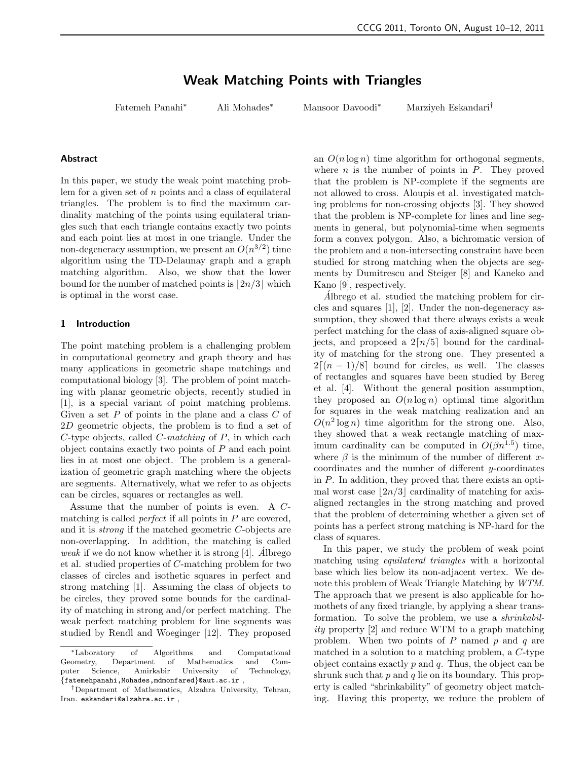# Weak Matching Points with Triangles

Fatemeh Panahi<sup>∗</sup> Ali Mohades<sup>∗</sup> Mansoor Davoodi<sup>∗</sup> Marziyeh Eskandari†

## Abstract

In this paper, we study the weak point matching problem for a given set of  $n$  points and a class of equilateral triangles. The problem is to find the maximum cardinality matching of the points using equilateral triangles such that each triangle contains exactly two points and each point lies at most in one triangle. Under the non-degeneracy assumption, we present an  $O(n^{3/2})$  time algorithm using the TD-Delaunay graph and a graph matching algorithm. Also, we show that the lower bound for the number of matched points is  $2n/3$  which is optimal in the worst case.

### 1 Introduction

The point matching problem is a challenging problem in computational geometry and graph theory and has many applications in geometric shape matchings and computational biology [3]. The problem of point matching with planar geometric objects, recently studied in [1], is a special variant of point matching problems. Given a set  $P$  of points in the plane and a class  $C$  of 2D geometric objects, the problem is to find a set of  $C$ -type objects, called  $C$ -matching of  $P$ , in which each object contains exactly two points of  $P$  and each point lies in at most one object. The problem is a generalization of geometric graph matching where the objects are segments. Alternatively, what we refer to as objects can be circles, squares or rectangles as well.

Assume that the number of points is even. A Cmatching is called *perfect* if all points in  $P$  are covered, and it is strong if the matched geometric C-objects are non-overlapping. In addition, the matching is called weak if we do not know whether it is strong [4]. Albrego et al. studied properties of C-matching problem for two classes of circles and isothetic squares in perfect and strong matching [1]. Assuming the class of objects to be circles, they proved some bounds for the cardinality of matching in strong and/or perfect matching. The weak perfect matching problem for line segments was studied by Rendl and Woeginger [12]. They proposed an  $O(n \log n)$  time algorithm for orthogonal segments, where  $n$  is the number of points in  $P$ . They proved that the problem is NP-complete if the segments are not allowed to cross. Aloupis et al. investigated matching problems for non-crossing objects [3]. They showed that the problem is NP-complete for lines and line segments in general, but polynomial-time when segments form a convex polygon. Also, a bichromatic version of the problem and a non-intersecting constraint have been studied for strong matching when the objects are segments by Dumitrescu and Steiger [8] and Kaneko and Kano [9], respectively.

 $\hat{A}$ lbrego et al. studied the matching problem for circles and squares [1], [2]. Under the non-degeneracy assumption, they showed that there always exists a weak perfect matching for the class of axis-aligned square objects, and proposed a  $2\lceil n/5 \rceil$  bound for the cardinality of matching for the strong one. They presented a  $2[(n-1)/8]$  bound for circles, as well. The classes of rectangles and squares have been studied by Bereg et al. [4]. Without the general position assumption, they proposed an  $O(n \log n)$  optimal time algorithm for squares in the weak matching realization and an  $O(n^2 \log n)$  time algorithm for the strong one. Also, they showed that a weak rectangle matching of maximum cardinality can be computed in  $O(\beta n^{1.5})$  time, where  $\beta$  is the minimum of the number of different xcoordinates and the number of different y-coordinates in P. In addition, they proved that there exists an optimal worst case  $|2n/3|$  cardinality of matching for axisaligned rectangles in the strong matching and proved that the problem of determining whether a given set of points has a perfect strong matching is NP-hard for the class of squares.

In this paper, we study the problem of weak point matching using equilateral triangles with a horizontal base which lies below its non-adjacent vertex. We denote this problem of Weak Triangle Matching by WTM. The approach that we present is also applicable for homothets of any fixed triangle, by applying a shear transformation. To solve the problem, we use a shrinkability property [2] and reduce WTM to a graph matching problem. When two points of  $P$  named  $p$  and  $q$  are matched in a solution to a matching problem, a C-type object contains exactly  $p$  and  $q$ . Thus, the object can be shrunk such that  $p$  and  $q$  lie on its boundary. This property is called "shrinkability" of geometry object matching. Having this property, we reduce the problem of

<sup>∗</sup>Laboratory of Algorithms and Computational Department of Mathematics and Computer Science, Amirkabir University of Technology, {fatemehpanahi,Mohades,mdmonfared}@aut.ac.ir ,

<sup>†</sup>Department of Mathematics, Alzahra University, Tehran, Iran. eskandari@alzahra.ac.ir ,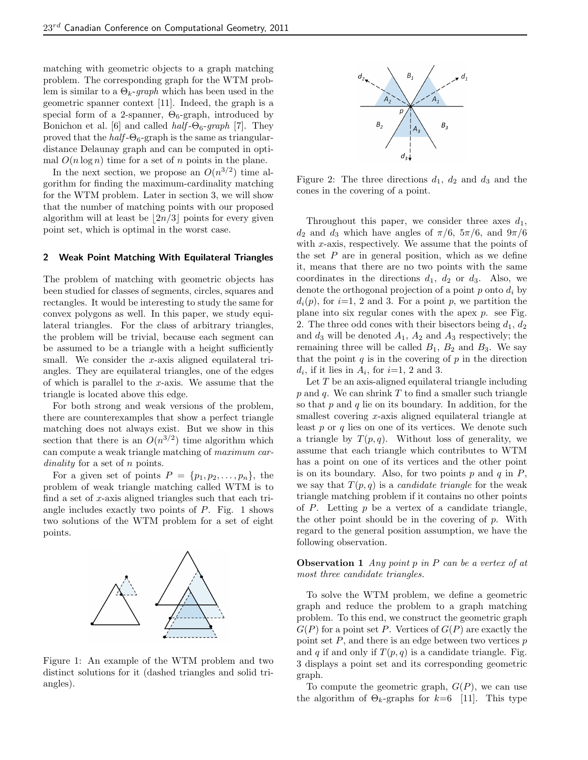matching with geometric objects to a graph matching problem. The corresponding graph for the WTM problem is similar to a  $\Theta_k$ -graph which has been used in the geometric spanner context [11]. Indeed, the graph is a special form of a 2-spanner,  $\Theta_6$ -graph, introduced by Bonichon et al. [6] and called  $half$ - $\Theta_6$ -graph [7]. They proved that the  $half$ - $\Theta_6$ -graph is the same as triangulardistance Delaunay graph and can be computed in optimal  $O(n \log n)$  time for a set of n points in the plane.

In the next section, we propose an  $O(n^{3/2})$  time algorithm for finding the maximum-cardinality matching for the WTM problem. Later in section 3, we will show that the number of matching points with our proposed algorithm will at least be  $\lfloor 2n/3 \rfloor$  points for every given point set, which is optimal in the worst case.

## 2 Weak Point Matching With Equilateral Triangles

The problem of matching with geometric objects has been studied for classes of segments, circles, squares and rectangles. It would be interesting to study the same for convex polygons as well. In this paper, we study equilateral triangles. For the class of arbitrary triangles, the problem will be trivial, because each segment can be assumed to be a triangle with a height sufficiently small. We consider the  $x$ -axis aligned equilateral triangles. They are equilateral triangles, one of the edges of which is parallel to the  $x$ -axis. We assume that the triangle is located above this edge.

For both strong and weak versions of the problem, there are counterexamples that show a perfect triangle matching does not always exist. But we show in this section that there is an  $O(n^{3/2})$  time algorithm which can compute a weak triangle matching of maximum cardinality for a set of n points.

For a given set of points  $P = \{p_1, p_2, \ldots, p_n\}$ , the problem of weak triangle matching called WTM is to find a set of x-axis aligned triangles such that each triangle includes exactly two points of  $P$ . Fig. 1 shows two solutions of the WTM problem for a set of eight points.



Figure 1: An example of the WTM problem and two distinct solutions for it (dashed triangles and solid triangles).



Figure 2: The three directions  $d_1$ ,  $d_2$  and  $d_3$  and the cones in the covering of a point.

Throughout this paper, we consider three axes  $d_1$ ,  $d_2$  and  $d_3$  which have angles of  $\pi/6$ ,  $5\pi/6$ , and  $9\pi/6$ with x-axis, respectively. We assume that the points of the set  $P$  are in general position, which as we define it, means that there are no two points with the same coordinates in the directions  $d_1$ ,  $d_2$  or  $d_3$ . Also, we denote the orthogonal projection of a point  $p$  onto  $d_i$  by  $d_i(p)$ , for  $i=1, 2$  and 3. For a point p, we partition the plane into six regular cones with the apex  $p$ . see Fig. 2. The three odd cones with their bisectors being  $d_1, d_2$ and  $d_3$  will be denoted  $A_1$ ,  $A_2$  and  $A_3$  respectively; the remaining three will be called  $B_1$ ,  $B_2$  and  $B_3$ . We say that the point  $q$  is in the covering of  $p$  in the direction  $d_i$ , if it lies in  $A_i$ , for  $i=1, 2$  and 3.

Let T be an axis-aligned equilateral triangle including  $p$  and  $q$ . We can shrink  $T$  to find a smaller such triangle so that  $p$  and  $q$  lie on its boundary. In addition, for the smallest covering x-axis aligned equilateral triangle at least  $p$  or  $q$  lies on one of its vertices. We denote such a triangle by  $T(p,q)$ . Without loss of generality, we assume that each triangle which contributes to WTM has a point on one of its vertices and the other point is on its boundary. Also, for two points  $p$  and  $q$  in  $P$ , we say that  $T(p,q)$  is a *candidate triangle* for the weak triangle matching problem if it contains no other points of  $P$ . Letting  $p$  be a vertex of a candidate triangle, the other point should be in the covering of  $p$ . With regard to the general position assumption, we have the following observation.

**Observation 1** Any point  $p$  in  $P$  can be a vertex of at most three candidate triangles.

To solve the WTM problem, we define a geometric graph and reduce the problem to a graph matching problem. To this end, we construct the geometric graph  $G(P)$  for a point set P. Vertices of  $G(P)$  are exactly the point set  $P$ , and there is an edge between two vertices  $p$ and q if and only if  $T(p, q)$  is a candidate triangle. Fig. 3 displays a point set and its corresponding geometric graph.

To compute the geometric graph,  $G(P)$ , we can use the algorithm of  $\Theta_k$ -graphs for  $k=6$  [11]. This type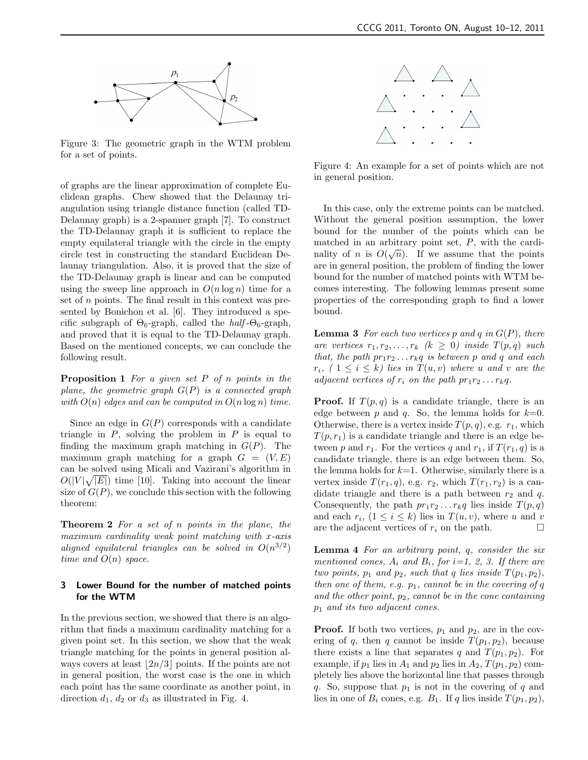

Figure 3: The geometric graph in the WTM problem for a set of points.

of graphs are the linear approximation of complete Euclidean graphs. Chew showed that the Delaunay triangulation using triangle distance function (called TD-Delaunay graph) is a 2-spanner graph [7]. To construct the TD-Delaunay graph it is sufficient to replace the empty equilateral triangle with the circle in the empty circle test in constructing the standard Euclidean Delaunay triangulation. Also, it is proved that the size of the TD-Delaunay graph is linear and can be computed using the sweep line approach in  $O(n \log n)$  time for a set of n points. The final result in this context was presented by Bonichon et al. [6]. They introduced a specific subgraph of  $\Theta_6$ -graph, called the *half*- $\Theta_6$ -graph, and proved that it is equal to the TD-Delaunay graph. Based on the mentioned concepts, we can conclude the following result.

**Proposition 1** For a given set  $P$  of  $n$  points in the plane, the geometric graph  $G(P)$  is a connected graph with  $O(n)$  edges and can be computed in  $O(n \log n)$  time.

Since an edge in  $G(P)$  corresponds with a candidate triangle in  $P$ , solving the problem in  $P$  is equal to finding the maximum graph matching in  $G(P)$ . The maximum graph matching for a graph  $G = (V, E)$ can be solved using Micali and Vazirani's algorithm in  $O(|V|\sqrt{|E|})$  time [10]. Taking into account the linear size of  $G(P)$ , we conclude this section with the following theorem:

Theorem 2 For a set of n points in the plane, the maximum cardinality weak point matching with x-axis aligned equilateral triangles can be solved in  $O(n^{3/2})$ time and  $O(n)$  space.

# 3 Lower Bound for the number of matched points for the WTM

In the previous section, we showed that there is an algorithm that finds a maximum cardinality matching for a given point set. In this section, we show that the weak triangle matching for the points in general position always covers at least  $\lfloor 2n/3 \rfloor$  points. If the points are not in general position, the worst case is the one in which each point has the same coordinate as another point, in direction  $d_1$ ,  $d_2$  or  $d_3$  as illustrated in Fig. 4.



Figure 4: An example for a set of points which are not in general position.

In this case, only the extreme points can be matched. Without the general position assumption, the lower bound for the number of the points which can be matched in an arbitrary point set,  $P$ , with the cardinality of *n* is  $O(\sqrt{n})$ . If we assume that the points are in general position, the problem of finding the lower bound for the number of matched points with WTM becomes interesting. The following lemmas present some properties of the corresponding graph to find a lower bound.

**Lemma 3** For each two vertices p and q in  $G(P)$ , there are vertices  $r_1, r_2, \ldots, r_k \ (k \geq 0)$  inside  $T(p, q)$  such that, the path  $pr_1r_2 \ldots r_kq$  is between p and q and each  $r_i$ ,  $(1 \leq i \leq k)$  lies in  $T(u, v)$  where u and v are the adjacent vertices of  $r_i$  on the path  $pr_1r_2 \ldots r_kq$ .

**Proof.** If  $T(p,q)$  is a candidate triangle, there is an edge between p and q. So, the lemma holds for  $k=0$ . Otherwise, there is a vertex inside  $T(p, q)$ , e.g.  $r_1$ , which  $T(p, r_1)$  is a candidate triangle and there is an edge between p and  $r_1$ . For the vertices q and  $r_1$ , if  $T(r_1, q)$  is a candidate triangle, there is an edge between them. So, the lemma holds for  $k=1$ . Otherwise, similarly there is a vertex inside  $T(r_1, q)$ , e.g.  $r_2$ , which  $T(r_1, r_2)$  is a candidate triangle and there is a path between  $r_2$  and q. Consequently, the path  $pr_1r_2 \ldots r_kq$  lies inside  $T(p, q)$ and each  $r_i$ ,  $(1 \leq i \leq k)$  lies in  $T(u, v)$ , where u and v are the adjacent vertices of  $r_i$  on the path.  $\Box$ 

**Lemma 4** For an arbitrary point,  $q$ , consider the six mentioned cones,  $A_i$  and  $B_i$ , for  $i=1, 2, 3$ . If there are two points,  $p_1$  and  $p_2$ , such that q lies inside  $T(p_1, p_2)$ , then one of them, e.g.  $p_1$ , cannot be in the covering of q and the other point,  $p_2$ , cannot be in the cone containing  $p_1$  and its two adjacent cones.

**Proof.** If both two vertices,  $p_1$  and  $p_2$ , are in the covering of q, then q cannot be inside  $T(p_1, p_2)$ , because there exists a line that separates q and  $T(p_1, p_2)$ . For example, if  $p_1$  lies in  $A_1$  and  $p_2$  lies in  $A_2$ ,  $T(p_1, p_2)$  completely lies above the horizontal line that passes through q. So, suppose that  $p_1$  is not in the covering of q and lies in one of  $B_i$  cones, e.g.  $B_1$ . If q lies inside  $T(p_1, p_2)$ ,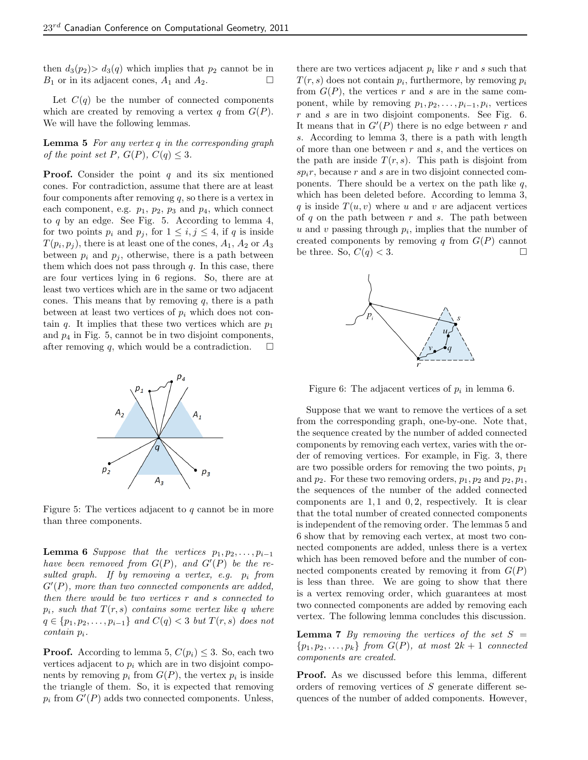then  $d_3(p_2) > d_3(q)$  which implies that  $p_2$  cannot be in  $B_1$  or in its adjacent cones,  $A_1$  and  $A_2$ .

Let  $C(q)$  be the number of connected components which are created by removing a vertex q from  $G(P)$ . We will have the following lemmas.

**Lemma 5** For any vertex  $q$  in the corresponding graph of the point set P,  $G(P)$ ,  $C(q) < 3$ .

**Proof.** Consider the point  $q$  and its six mentioned cones. For contradiction, assume that there are at least four components after removing  $q$ , so there is a vertex in each component, e.g.  $p_1$ ,  $p_2$ ,  $p_3$  and  $p_4$ , which connect to  $q$  by an edge. See Fig. 5. According to lemma 4, for two points  $p_i$  and  $p_j$ , for  $1 \leq i, j \leq 4$ , if q is inside  $T(p_i, p_j)$ , there is at least one of the cones,  $A_1$ ,  $A_2$  or  $A_3$ between  $p_i$  and  $p_j$ , otherwise, there is a path between them which does not pass through  $q$ . In this case, there are four vertices lying in 6 regions. So, there are at least two vertices which are in the same or two adjacent cones. This means that by removing  $q$ , there is a path between at least two vertices of  $p_i$  which does not contain q. It implies that these two vertices which are  $p_1$ and  $p_4$  in Fig. 5, cannot be in two disjoint components, after removing  $q$ , which would be a contradiction.



Figure 5: The vertices adjacent to  $q$  cannot be in more than three components.

**Lemma 6** Suppose that the vertices  $p_1, p_2, \ldots, p_{i-1}$ have been removed from  $G(P)$ , and  $G'(P)$  be the resulted graph. If by removing a vertex, e.g.  $p_i$  from  $G'(P)$ , more than two connected components are added, then there would be two vertices r and s connected to  $p_i$ , such that  $T(r, s)$  contains some vertex like q where  $q \in \{p_1, p_2, \ldots, p_{i-1}\}$  and  $C(q) < 3$  but  $T(r, s)$  does not  $contain p_i$ .

**Proof.** According to lemma 5,  $C(p_i) \leq 3$ . So, each two vertices adjacent to  $p_i$  which are in two disjoint components by removing  $p_i$  from  $G(P)$ , the vertex  $p_i$  is inside the triangle of them. So, it is expected that removing  $p_i$  from  $G'(P)$  adds two connected components. Unless,

there are two vertices adjacent  $p_i$  like r and s such that  $T(r, s)$  does not contain  $p_i$ , furthermore, by removing  $p_i$ from  $G(P)$ , the vertices r and s are in the same component, while by removing  $p_1, p_2, \ldots, p_{i-1}, p_i$ , vertices  $r$  and  $s$  are in two disjoint components. See Fig. 6. It means that in  $G'(P)$  there is no edge between r and s. According to lemma 3, there is a path with length of more than one between  $r$  and  $s$ , and the vertices on the path are inside  $T(r, s)$ . This path is disjoint from  $sp_ir$ , because r and s are in two disjoint connected components. There should be a vertex on the path like  $q$ , which has been deleted before. According to lemma 3, q is inside  $T(u, v)$  where u and v are adjacent vertices of  $q$  on the path between  $r$  and  $s$ . The path between  $u$  and  $v$  passing through  $p_i$ , implies that the number of created components by removing q from  $G(P)$  cannot be three. So,  $C(q) < 3$ .



Figure 6: The adjacent vertices of  $p_i$  in lemma 6.

Suppose that we want to remove the vertices of a set from the corresponding graph, one-by-one. Note that, the sequence created by the number of added connected components by removing each vertex, varies with the order of removing vertices. For example, in Fig. 3, there are two possible orders for removing the two points,  $p_1$ and  $p_2$ . For these two removing orders,  $p_1, p_2$  and  $p_2, p_1$ , the sequences of the number of the added connected components are  $1, 1$  and  $0, 2$ , respectively. It is clear that the total number of created connected components is independent of the removing order. The lemmas 5 and 6 show that by removing each vertex, at most two connected components are added, unless there is a vertex which has been removed before and the number of connected components created by removing it from  $G(P)$ is less than three. We are going to show that there is a vertex removing order, which guarantees at most two connected components are added by removing each vertex. The following lemma concludes this discussion.

**Lemma 7** By removing the vertices of the set  $S =$  $\{p_1, p_2, \ldots, p_k\}$  from  $G(P)$ , at most  $2k + 1$  connected components are created.

Proof. As we discussed before this lemma, different orders of removing vertices of S generate different sequences of the number of added components. However,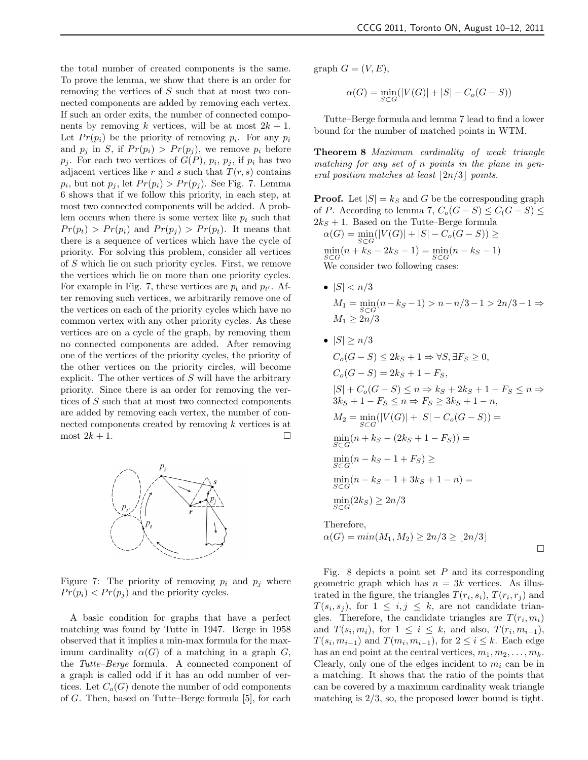the total number of created components is the same. To prove the lemma, we show that there is an order for removing the vertices of S such that at most two connected components are added by removing each vertex. If such an order exits, the number of connected components by removing k vertices, will be at most  $2k + 1$ . Let  $Pr(p_i)$  be the priority of removing  $p_i$ . For any  $p_i$ and  $p_j$  in S, if  $Pr(p_i) > Pr(p_j)$ , we remove  $p_i$  before  $p_j$ . For each two vertices of  $G(P)$ ,  $p_i$ ,  $p_j$ , if  $p_i$  has two adjacent vertices like r and s such that  $T(r, s)$  contains  $p_i$ , but not  $p_j$ , let  $Pr(p_i) > Pr(p_j)$ . See Fig. 7. Lemma 6 shows that if we follow this priority, in each step, at most two connected components will be added. A problem occurs when there is some vertex like  $p_t$  such that  $Pr(p_t) > Pr(p_i)$  and  $Pr(p_i) > Pr(p_t)$ . It means that there is a sequence of vertices which have the cycle of priority. For solving this problem, consider all vertices of S which lie on such priority cycles. First, we remove the vertices which lie on more than one priority cycles. For example in Fig. 7, these vertices are  $p_t$  and  $p_{t'}$ . After removing such vertices, we arbitrarily remove one of the vertices on each of the priority cycles which have no common vertex with any other priority cycles. As these vertices are on a cycle of the graph, by removing them no connected components are added. After removing one of the vertices of the priority cycles, the priority of the other vertices on the priority circles, will become explicit. The other vertices of  $S$  will have the arbitrary priority. Since there is an order for removing the vertices of S such that at most two connected components are added by removing each vertex, the number of connected components created by removing k vertices is at most  $2k + 1$ .



Figure 7: The priority of removing  $p_i$  and  $p_j$  where  $Pr(p_i) < Pr(p_j)$  and the priority cycles.

A basic condition for graphs that have a perfect matching was found by Tutte in 1947. Berge in 1958 observed that it implies a min-max formula for the maximum cardinality  $\alpha(G)$  of a matching in a graph G, the Tutte–Berge formula. A connected component of a graph is called odd if it has an odd number of vertices. Let  $C_o(G)$  denote the number of odd components of G. Then, based on Tutte–Berge formula [5], for each graph  $G = (V, E)$ ,

$$
\alpha(G) = \min_{S \subset G} (|V(G)| + |S| - C_o(G - S))
$$

Tutte–Berge formula and lemma 7 lead to find a lower bound for the number of matched points in WTM.

Theorem 8 Maximum cardinality of weak triangle matching for any set of n points in the plane in general position matches at least  $|2n/3|$  points.

**Proof.** Let  $|S| = k_S$  and G be the corresponding graph of P. According to lemma 7,  $C_o(G-S) \leq C(G-S) \leq$  $2k<sub>S</sub> + 1$ . Based on the Tutte–Berge formula  $(117(6))$  +  $(0)$   $\alpha$   $\alpha$ 

$$
\alpha(G) = \min_{S \subset G} (|V(G)| + |S| - C_o(G - S)) \ge
$$
  
\n
$$
\min_{S \subset G} (n + k_S - 2k_S - 1) = \min_{S \subset G} (n - k_S - 1)
$$
  
\nWe consider two following cases:

•  $|S| < n/3$  $M_1 = \min_{S \subset G} (n - k_S - 1) > n - n/3 - 1 > 2n/3 - 1 \Rightarrow$  $M_1 \geq 2n/3$ 

• 
$$
|S| \ge n/3
$$
  
\n $C_o(G - S) \le 2k_S + 1 \Rightarrow \forall S, \exists F_S \ge 0,$   
\n $C_o(G - S) = 2k_S + 1 - F_S,$   
\n $|S| + C_o(G - S) \le n \Rightarrow k_S + 2k_S + 1 - F_S \le n \Rightarrow$   
\n $3k_S + 1 - F_S \le n \Rightarrow F_S \ge 3k_S + 1 - n,$   
\n $M_2 = \min_{S \subset G}(|V(G)| + |S| - C_o(G - S)) =$   
\n $\min_{S \subset G} (n + k_S - (2k_S + 1 - F_S)) =$   
\n $\min_{S \subset G} (n - k_S - 1 + F_S) \ge$   
\n $\min_{S \subset G} (n - k_S - 1 + 3k_S + 1 - n) =$   
\n $\min_{S \subset G} (2k_S) \ge 2n/3$   
\nTherefore,  
\n $\alpha(G) = min(M_1, M_2) \ge 2n/3 \ge \lfloor 2n/3 \rfloor$ 

 $\Box$ 

Fig. 8 depicts a point set  $P$  and its corresponding geometric graph which has  $n = 3k$  vertices. As illustrated in the figure, the triangles  $T(r_i, s_i)$ ,  $T(r_i, r_j)$  and  $T(s_i, s_j)$ , for  $1 \leq i, j \leq k$ , are not candidate triangles. Therefore, the candidate triangles are  $T(r_i, m_i)$ and  $T(s_i, m_i)$ , for  $1 \leq i \leq k$ , and also,  $T(r_i, m_{i-1})$ ,  $T(s_i, m_{i-1})$  and  $T(m_i, m_{i-1})$ , for  $2 \leq i \leq k$ . Each edge has an end point at the central vertices,  $m_1, m_2, \ldots, m_k$ . Clearly, only one of the edges incident to  $m_i$  can be in a matching. It shows that the ratio of the points that can be covered by a maximum cardinality weak triangle matching is  $2/3$ , so, the proposed lower bound is tight.